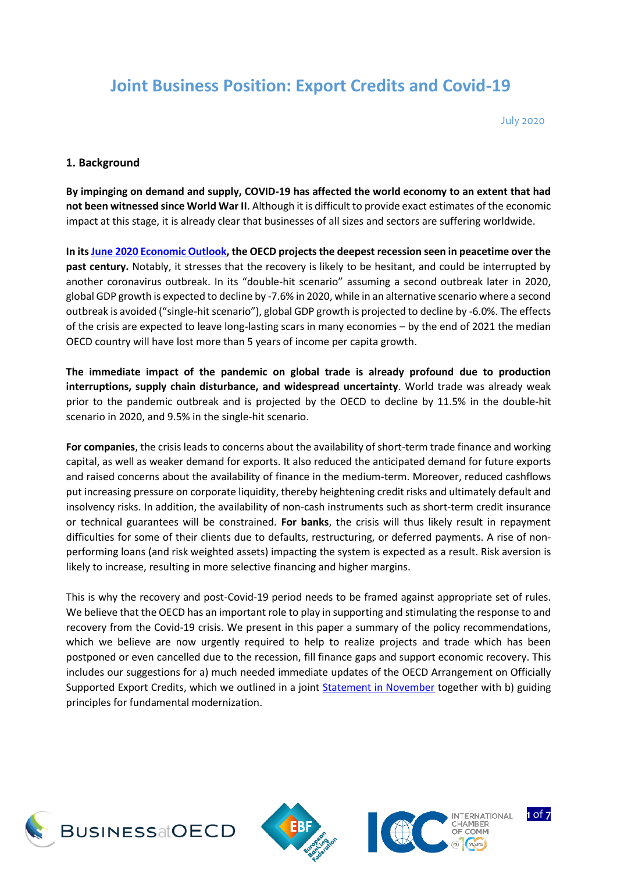# **Joint Business Position: Export Credits and Covid-19**

July 2020

#### **1. Background**

**By impinging on demand and supply, COVID-19 has affected the world economy to an extent that had not been witnessed since World War II**. Although it is difficult to provide exact estimates of the economic impact at this stage, it is already clear that businesses of all sizes and sectors are suffering worldwide.

**In its [June 2020 Economic Outlook,](http://www.oecd.org/economic-outlook/june-2020/) the OECD projects the deepest recession seen in peacetime over the past century.** Notably, it stresses that the recovery is likely to be hesitant, and could be interrupted by another coronavirus outbreak. In its "double-hit scenario" assuming a second outbreak later in 2020, global GDP growth is expected to decline by -7.6% in 2020, while in an alternative scenario where a second outbreak is avoided ("single-hit scenario"), global GDP growth is projected to decline by -6.0%. The effects of the crisis are expected to leave long-lasting scars in many economies – by the end of 2021 the median OECD country will have lost more than 5 years of income per capita growth.

**The immediate impact of the pandemic on global trade is already profound due to production interruptions, supply chain disturbance, and widespread uncertainty**. World trade was already weak prior to the pandemic outbreak and is projected by the OECD to decline by 11.5% in the double-hit scenario in 2020, and 9.5% in the single-hit scenario.

**For companies**, the crisis leads to concerns about the availability of short-term trade finance and working capital, as well as weaker demand for exports. It also reduced the anticipated demand for future exports and raised concerns about the availability of finance in the medium-term. Moreover, reduced cashflows put increasing pressure on corporate liquidity, thereby heightening credit risks and ultimately default and insolvency risks. In addition, the availability of non-cash instruments such as short-term credit insurance or technical guarantees will be constrained. **For banks**, the crisis will thus likely result in repayment difficulties for some of their clients due to defaults, restructuring, or deferred payments. A rise of nonperforming loans (and risk weighted assets) impacting the system is expected as a result. Risk aversion is likely to increase, resulting in more selective financing and higher margins.

This is why the recovery and post-Covid-19 period needs to be framed against appropriate set of rules. We believe that the OECD has an important role to play in supporting and stimulating the response to and recovery from the Covid-19 crisis. We present in this paper a summary of the policy recommendations, which we believe are now urgently required to help to realize projects and trade which has been postponed or even cancelled due to the recession, fill finance gaps and support economic recovery. This includes our suggestions for a) much needed immediate updates of the OECD Arrangement on Officially Supported Export Credits, which we outlined in a joint [Statement in November](http://biac.org/wp-content/uploads/2019/11/Final-version-Joint-business-position-on-Future-of-OECD-Arrangement3.pdf) together with b) guiding principles for fundamental modernization.







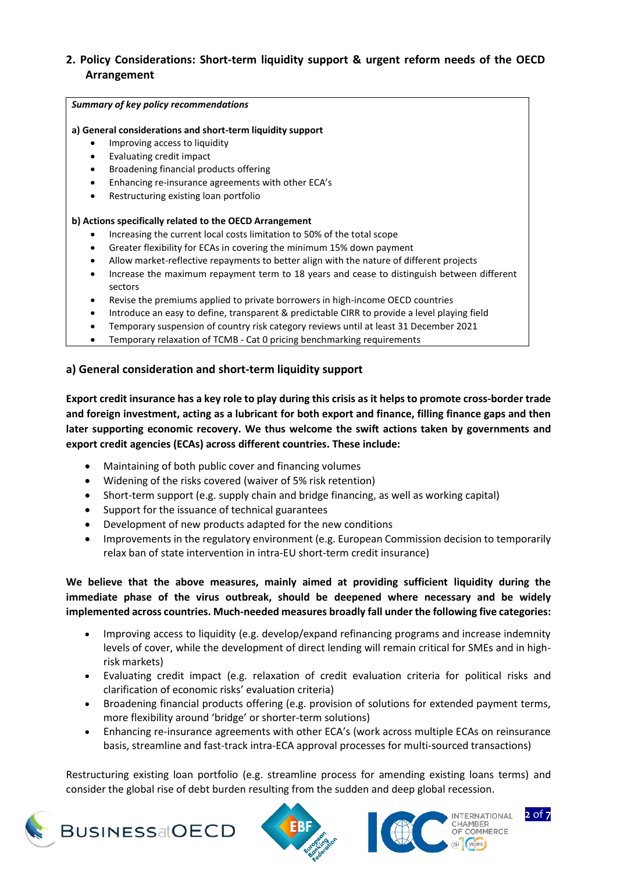#### **2. Policy Considerations: Short-term liquidity support & urgent reform needs of the OECD Arrangement**

#### *Summary of key policy recommendations*

#### **a) General considerations and short-term liquidity support**

- Improving access to liquidity
- Evaluating credit impact
- Broadening financial products offering
- Enhancing re-insurance agreements with other ECA's
- Restructuring existing loan portfolio

#### **b) Actions specifically related to the OECD Arrangement**

- Increasing the current local costs limitation to 50% of the total scope
- Greater flexibility for ECAs in covering the minimum 15% down payment
- Allow market-reflective repayments to better align with the nature of different projects
- Increase the maximum repayment term to 18 years and cease to distinguish between different sectors
- Revise the premiums applied to private borrowers in high-income OECD countries
- Introduce an easy to define, transparent & predictable CIRR to provide a level playing field
- Temporary suspension of country risk category reviews until at least 31 December 2021
- Temporary relaxation of TCMB Cat 0 pricing benchmarking requirements

#### **a) General consideration and short-term liquidity support**

**Export credit insurance has a key role to play during this crisis as it helps to promote cross-border trade and foreign investment, acting as a lubricant for both export and finance, filling finance gaps and then later supporting economic recovery. We thus welcome the swift actions taken by governments and export credit agencies (ECAs) across different countries. These include:**

- Maintaining of both public cover and financing volumes
- Widening of the risks covered (waiver of 5% risk retention)
- Short-term support (e.g. supply chain and bridge financing, as well as working capital)
- Support for the issuance of technical guarantees
- Development of new products adapted for the new conditions
- Improvements in the regulatory environment (e.g. European Commission decision to temporarily relax ban of state intervention in intra-EU short-term credit insurance)

**We believe that the above measures, mainly aimed at providing sufficient liquidity during the immediate phase of the virus outbreak, should be deepened where necessary and be widely implemented across countries. Much-needed measures broadly fall under the following five categories:**

- Improving access to liquidity (e.g. develop/expand refinancing programs and increase indemnity levels of cover, while the development of direct lending will remain critical for SMEs and in highrisk markets)
- Evaluating credit impact (e.g. relaxation of credit evaluation criteria for political risks and clarification of economic risks' evaluation criteria)
- Broadening financial products offering (e.g. provision of solutions for extended payment terms, more flexibility around 'bridge' or shorter-term solutions)
- Enhancing re-insurance agreements with other ECA's (work across multiple ECAs on reinsurance basis, streamline and fast-track intra-ECA approval processes for multi-sourced transactions)

Restructuring existing loan portfolio (e.g. streamline process for amending existing loans terms) and consider the global rise of debt burden resulting from the sudden and deep global recession.







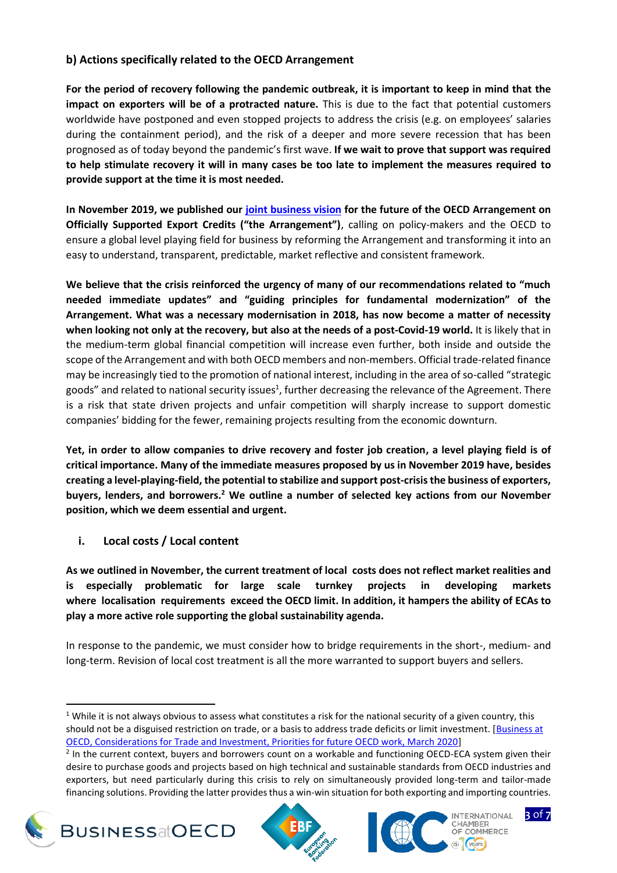#### **b) Actions specifically related to the OECD Arrangement**

**For the period of recovery following the pandemic outbreak, it is important to keep in mind that the impact on exporters will be of a protracted nature.** This is due to the fact that potential customers worldwide have postponed and even stopped projects to address the crisis (e.g. on employees' salaries during the containment period), and the risk of a deeper and more severe recession that has been prognosed as of today beyond the pandemic's first wave. **If we wait to prove that support was required to help stimulate recovery it will in many cases be too late to implement the measures required to provide support at the time it is most needed.**

**In November 2019, we published our [joint business vision](http://biac.org/wp-content/uploads/2019/11/Final-version-Joint-business-position-on-Future-of-OECD-Arrangement3.pdf) for the future of the OECD Arrangement on Officially Supported Export Credits ("the Arrangement")**, calling on policy-makers and the OECD to ensure a global level playing field for business by reforming the Arrangement and transforming it into an easy to understand, transparent, predictable, market reflective and consistent framework.

**We believe that the crisis reinforced the urgency of many of our recommendations related to "much needed immediate updates" and "guiding principles for fundamental modernization" of the Arrangement. What was a necessary modernisation in 2018, has now become a matter of necessity when looking not only at the recovery, but also at the needs of a post-Covid-19 world.** It is likely that in the medium-term global financial competition will increase even further, both inside and outside the scope of the Arrangement and with both OECD members and non-members. Official trade-related finance may be increasingly tied to the promotion of national interest, including in the area of so-called "strategic goods" and related to national security issues<sup>1</sup>, further decreasing the relevance of the Agreement. There is a risk that state driven projects and unfair competition will sharply increase to support domestic companies' bidding for the fewer, remaining projects resulting from the economic downturn.

**Yet, in order to allow companies to drive recovery and foster job creation, a level playing field is of critical importance. Many of the immediate measures proposed by us in November 2019 have, besides creating a level-playing-field, the potential to stabilize and support post-crisis the business of exporters, buyers, lenders, and borrowers.<sup>2</sup> We outline a number of selected key actions from our November position, which we deem essential and urgent.** 

**i. Local costs / Local content**

**As we outlined in November, the current treatment of local costs does not reflect market realities and is especially problematic for large scale turnkey projects in developing markets where localisation requirements exceed the OECD limit. In addition, it hampers the ability of ECAs to play a more active role supporting the global sustainability agenda.** 

In response to the pandemic, we must consider how to bridge requirements in the short-, medium- and long-term. Revision of local cost treatment is all the more warranted to support buyers and sellers.

 $2$  In the current context, buyers and borrowers count on a workable and functioning OECD-ECA system given their desire to purchase goods and projects based on high technical and sustainable standards from OECD industries and exporters, but need particularly during this crisis to rely on simultaneously provided long-term and tailor-made financing solutions. Providing the latter provides thus a win-win situation for both exporting and importing countries.



 $\overline{\phantom{a}}$ 







<sup>&</sup>lt;sup>1</sup> While it is not always obvious to assess what constitutes a risk for the national security of a given country, this should not be a disguised restriction on trade, or a basis to address trade deficits or limit investment. [\[Business at](file://///main.oecd.org/sdataBIA/Data/FREDERIK/Exports%20credits%20Expert%20Group/2020/Covid%20-%20Joint%20position/(1)%20While%20it%20is%20not%20always%20obvious%20to%20assess%20what%20constitutes%20a%20risk%20for%20the%20national%20security%20of%20a%20given%20country,%20this%20should%20not%20be%20a%20disguised%20restriction%20on%20trade,%20or%20a%20basis%20to%20address%20trade%20deficits%20or%20limit%20investment.%20%5bBusiness%20at%20OECD,%20Considerations%20for%20Trade%20and%20Investment,%20Priorities%20for%20future%20OECD%20work,%20March%202020%5d)  [OECD, Considerations for Trade and Investment, Priorities for future OECD work, March 2020\]](file://///main.oecd.org/sdataBIA/Data/FREDERIK/Exports%20credits%20Expert%20Group/2020/Covid%20-%20Joint%20position/(1)%20While%20it%20is%20not%20always%20obvious%20to%20assess%20what%20constitutes%20a%20risk%20for%20the%20national%20security%20of%20a%20given%20country,%20this%20should%20not%20be%20a%20disguised%20restriction%20on%20trade,%20or%20a%20basis%20to%20address%20trade%20deficits%20or%20limit%20investment.%20%5bBusiness%20at%20OECD,%20Considerations%20for%20Trade%20and%20Investment,%20Priorities%20for%20future%20OECD%20work,%20March%202020%5d)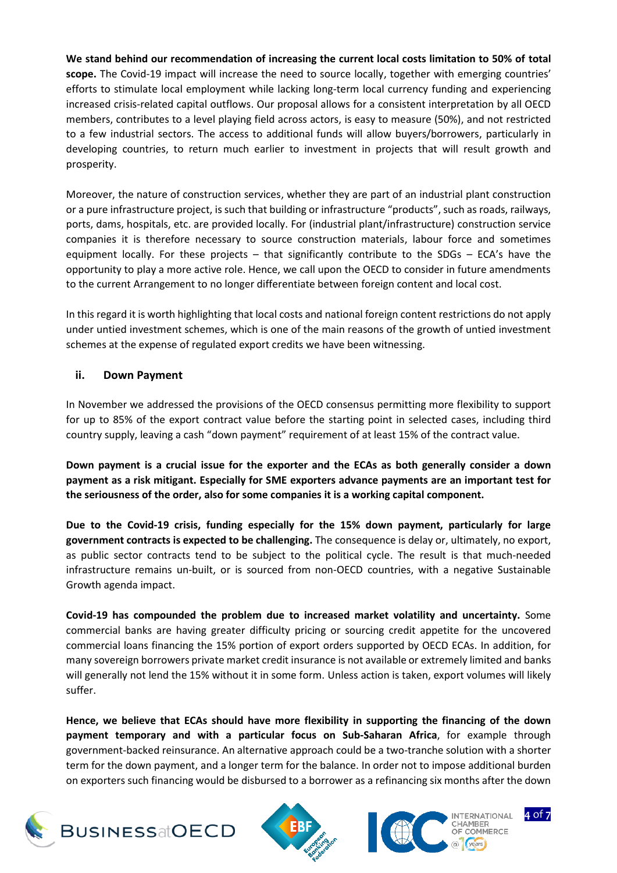**We stand behind our recommendation of increasing the current local costs limitation to 50% of total scope.** The Covid-19 impact will increase the need to source locally, together with emerging countries' efforts to stimulate local employment while lacking long-term local currency funding and experiencing increased crisis-related capital outflows. Our proposal allows for a consistent interpretation by all OECD members, contributes to a level playing field across actors, is easy to measure (50%), and not restricted to a few industrial sectors. The access to additional funds will allow buyers/borrowers, particularly in developing countries, to return much earlier to investment in projects that will result growth and prosperity.

Moreover, the nature of construction services, whether they are part of an industrial plant construction or a pure infrastructure project, is such that building or infrastructure "products", such as roads, railways, ports, dams, hospitals, etc. are provided locally. For (industrial plant/infrastructure) construction service companies it is therefore necessary to source construction materials, labour force and sometimes equipment locally. For these projects – that significantly contribute to the SDGs – ECA's have the opportunity to play a more active role. Hence, we call upon the OECD to consider in future amendments to the current Arrangement to no longer differentiate between foreign content and local cost.

In this regard it is worth highlighting that local costs and national foreign content restrictions do not apply under untied investment schemes, which is one of the main reasons of the growth of untied investment schemes at the expense of regulated export credits we have been witnessing.

## **ii. Down Payment**

In November we addressed the provisions of the OECD consensus permitting more flexibility to support for up to 85% of the export contract value before the starting point in selected cases, including third country supply, leaving a cash "down payment" requirement of at least 15% of the contract value.

**Down payment is a crucial issue for the exporter and the ECAs as both generally consider a down payment as a risk mitigant. Especially for SME exporters advance payments are an important test for the seriousness of the order, also for some companies it is a working capital component.**

**Due to the Covid-19 crisis, funding especially for the 15% down payment, particularly for large government contracts is expected to be challenging.** The consequence is delay or, ultimately, no export, as public sector contracts tend to be subject to the political cycle. The result is that much-needed infrastructure remains un-built, or is sourced from non-OECD countries, with a negative Sustainable Growth agenda impact.

**Covid-19 has compounded the problem due to increased market volatility and uncertainty.** Some commercial banks are having greater difficulty pricing or sourcing credit appetite for the uncovered commercial loans financing the 15% portion of export orders supported by OECD ECAs. In addition, for many sovereign borrowers private market credit insurance is not available or extremely limited and banks will generally not lend the 15% without it in some form. Unless action is taken, export volumes will likely suffer.

**Hence, we believe that ECAs should have more flexibility in supporting the financing of the down payment temporary and with a particular focus on Sub-Saharan Africa**, for example through government-backed reinsurance. An alternative approach could be a two-tranche solution with a shorter term for the down payment, and a longer term for the balance. In order not to impose additional burden on exporters such financing would be disbursed to a borrower as a refinancing six months after the down







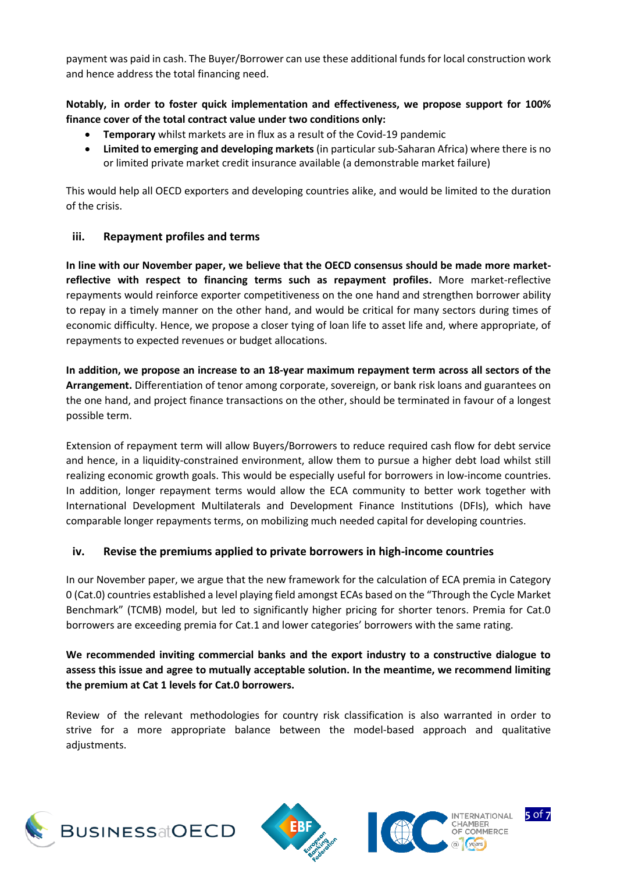payment was paid in cash. The Buyer/Borrower can use these additional funds for local construction work and hence address the total financing need.

#### **Notably, in order to foster quick implementation and effectiveness, we propose support for 100% finance cover of the total contract value under two conditions only:**

- **Temporary** whilst markets are in flux as a result of the Covid-19 pandemic
- **Limited to emerging and developing markets** (in particular sub-Saharan Africa) where there is no or limited private market credit insurance available (a demonstrable market failure)

This would help all OECD exporters and developing countries alike, and would be limited to the duration of the crisis.

#### **iii. Repayment profiles and terms**

**In line with our November paper, we believe that the OECD consensus should be made more marketreflective with respect to financing terms such as repayment profiles.** More market-reflective repayments would reinforce exporter competitiveness on the one hand and strengthen borrower ability to repay in a timely manner on the other hand, and would be critical for many sectors during times of economic difficulty. Hence, we propose a closer tying of loan life to asset life and, where appropriate, of repayments to expected revenues or budget allocations.

**In addition, we propose an increase to an 18-year maximum repayment term across all sectors of the Arrangement.** Differentiation of tenor among corporate, sovereign, or bank risk loans and guarantees on the one hand, and project finance transactions on the other, should be terminated in favour of a longest possible term.

Extension of repayment term will allow Buyers/Borrowers to reduce required cash flow for debt service and hence, in a liquidity-constrained environment, allow them to pursue a higher debt load whilst still realizing economic growth goals. This would be especially useful for borrowers in low-income countries. In addition, longer repayment terms would allow the ECA community to better work together with International Development Multilaterals and Development Finance Institutions (DFIs), which have comparable longer repayments terms, on mobilizing much needed capital for developing countries.

## **iv. Revise the premiums applied to private borrowers in high-income countries**

In our November paper, we argue that the new framework for the calculation of ECA premia in Category 0 (Cat.0) countries established a level playing field amongst ECAs based on the "Through the Cycle Market Benchmark" (TCMB) model, but led to significantly higher pricing for shorter tenors. Premia for Cat.0 borrowers are exceeding premia for Cat.1 and lower categories' borrowers with the same rating.

## **We recommended inviting commercial banks and the export industry to a constructive dialogue to assess this issue and agree to mutually acceptable solution. In the meantime, we recommend limiting the premium at Cat 1 levels for Cat.0 borrowers.**

Review of the relevant methodologies for country risk classification is also warranted in order to strive for a more appropriate balance between the model-based approach and qualitative adiustments.







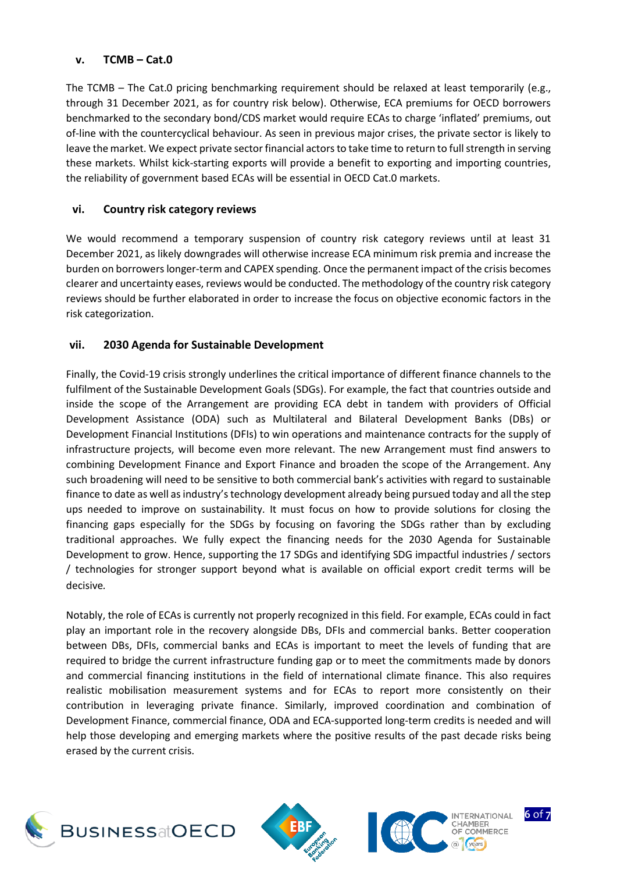#### **v. TCMB – Cat.0**

The TCMB – The Cat.0 pricing benchmarking requirement should be relaxed at least temporarily (e.g., through 31 December 2021, as for country risk below). Otherwise, ECA premiums for OECD borrowers benchmarked to the secondary bond/CDS market would require ECAs to charge 'inflated' premiums, out of-line with the countercyclical behaviour. As seen in previous major crises, the private sector is likely to leave the market. We expect private sector financial actors to take time to return to full strength in serving these markets. Whilst kick-starting exports will provide a benefit to exporting and importing countries, the reliability of government based ECAs will be essential in OECD Cat.0 markets.

#### **vi. Country risk category reviews**

We would recommend a temporary suspension of country risk category reviews until at least 31 December 2021, as likely downgrades will otherwise increase ECA minimum risk premia and increase the burden on borrowers longer-term and CAPEX spending. Once the permanent impact of the crisis becomes clearer and uncertainty eases, reviews would be conducted. The methodology of the country risk category reviews should be further elaborated in order to increase the focus on objective economic factors in the risk categorization.

#### **vii. 2030 Agenda for Sustainable Development**

Finally, the Covid-19 crisis strongly underlines the critical importance of different finance channels to the fulfilment of the Sustainable Development Goals (SDGs). For example, the fact that countries outside and inside the scope of the Arrangement are providing ECA debt in tandem with providers of Official Development Assistance (ODA) such as Multilateral and Bilateral Development Banks (DBs) or Development Financial Institutions (DFIs) to win operations and maintenance contracts for the supply of infrastructure projects, will become even more relevant. The new Arrangement must find answers to combining Development Finance and Export Finance and broaden the scope of the Arrangement. Any such broadening will need to be sensitive to both commercial bank's activities with regard to sustainable finance to date as well as industry's technology development already being pursued today and all the step ups needed to improve on sustainability. It must focus on how to provide solutions for closing the financing gaps especially for the SDGs by focusing on favoring the SDGs rather than by excluding traditional approaches. We fully expect the financing needs for the 2030 Agenda for Sustainable Development to grow. Hence, supporting the 17 SDGs and identifying SDG impactful industries / sectors / technologies for stronger support beyond what is available on official export credit terms will be decisive*.*

Notably, the role of ECAs is currently not properly recognized in this field. For example, ECAs could in fact play an important role in the recovery alongside DBs, DFIs and commercial banks. Better cooperation between DBs, DFIs, commercial banks and ECAs is important to meet the levels of funding that are required to bridge the current infrastructure funding gap or to meet the commitments made by donors and commercial financing institutions in the field of international climate finance. This also requires realistic mobilisation measurement systems and for ECAs to report more consistently on their contribution in leveraging private finance. Similarly, improved coordination and combination of Development Finance, commercial finance, ODA and ECA-supported long-term credits is needed and will help those developing and emerging markets where the positive results of the past decade risks being erased by the current crisis.